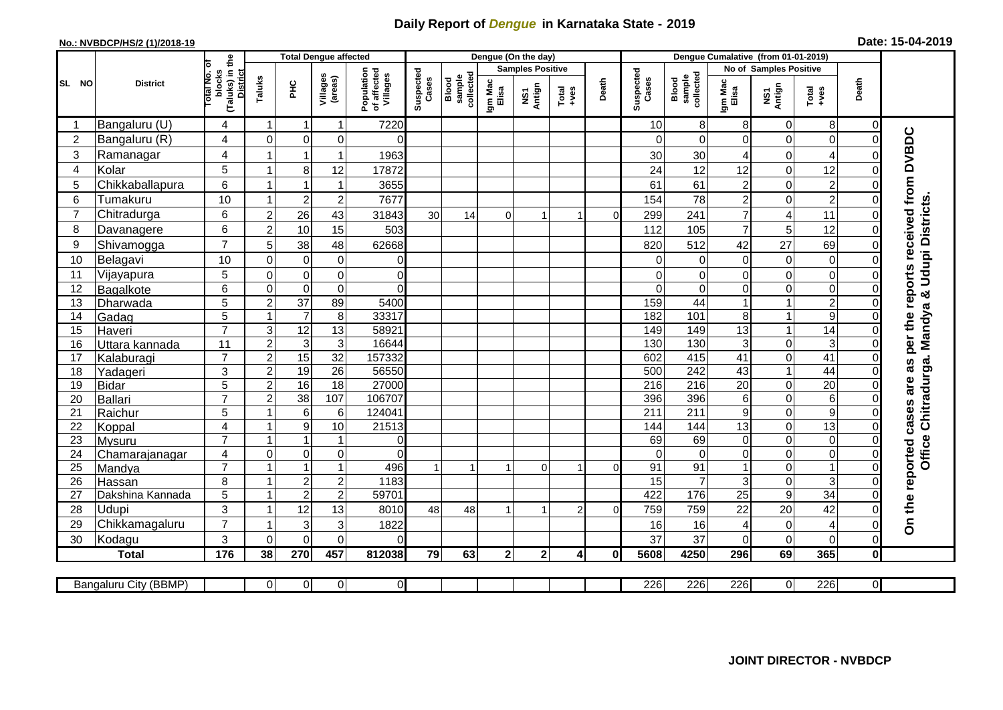## **Daily Report of** *Dengue* **in Karnataka State - 2019**

## **No.: NVBDCP/HS/2 (1)/2018-19 Date: 15-04-2019**

|                 |                       |                                                      |                         | <b>Total Dengue affected</b> |                         |                                       |                    |                              |                         | Dengue (On the day) |                  |          |                    |                              |                        |                  |                                                              |                |                                                                  |
|-----------------|-----------------------|------------------------------------------------------|-------------------------|------------------------------|-------------------------|---------------------------------------|--------------------|------------------------------|-------------------------|---------------------|------------------|----------|--------------------|------------------------------|------------------------|------------------|--------------------------------------------------------------|----------------|------------------------------------------------------------------|
|                 | <b>District</b>       |                                                      |                         |                              |                         |                                       |                    |                              | <b>Samples Positive</b> |                     |                  |          |                    |                              | No of Samples Positive |                  |                                                              |                |                                                                  |
| SL NO           |                       | (Taluks) in the<br>District<br>otal No. of<br>blocks | Taluks                  | <b>PHC</b>                   | Villages<br>(areas)     | Population<br>of affected<br>Villages | Suspected<br>Cases | sample<br>collected<br>Blood | Igm Mac<br>Elisa        | NS1<br>Antign       | $Tota$<br>$+ves$ | Death    | Suspected<br>Cases | collected<br>sample<br>Blood | Igm Mac<br>Elisa       | NS1<br>Antign    | $\begin{array}{c}\n\text{Total} \\ \text{Area}\n\end{array}$ | Death          |                                                                  |
|                 | Bangaluru (U)         | 4                                                    | -1                      | -1                           | 1                       | 7220                                  |                    |                              |                         |                     |                  |          | 10                 | 8                            | 8                      | 0                | 8                                                            | $\Omega$       |                                                                  |
| $\overline{2}$  | Bangaluru (R)         | 4                                                    | $\mathbf{0}$            | $\mathbf 0$                  | $\mathbf 0$             | $\Omega$                              |                    |                              |                         |                     |                  |          | $\Omega$           | $\Omega$                     | $\Omega$               | 0                | $\mathbf 0$                                                  | $\Omega$       |                                                                  |
| $\mathbf{3}$    | Ramanagar             | 4                                                    |                         |                              | 1                       | 1963                                  |                    |                              |                         |                     |                  |          | 30                 | 30                           | 4                      | 0                | $\overline{4}$                                               | $\bigcap$      | On the reported cases are as per the reports received from DVBDC |
| $\overline{4}$  | Kolar                 | $\overline{5}$                                       | $\overline{1}$          | 8                            | 12                      | 17872                                 |                    |                              |                         |                     |                  |          | 24                 | 12                           | 12                     | 0                | 12                                                           | $\mathbf 0$    |                                                                  |
| 5               | Chikkaballapura       | $6\phantom{1}$                                       |                         |                              | 1                       | 3655                                  |                    |                              |                         |                     |                  |          | 61                 | 61                           | $\overline{c}$         | 0                | $\overline{c}$                                               | $\Omega$       |                                                                  |
| $6\phantom{1}6$ | Tumakuru              | 10                                                   |                         | $\overline{2}$               | $\overline{c}$          | 7677                                  |                    |                              |                         |                     |                  |          | 154                | 78                           | $\overline{c}$         | 0                | $\overline{2}$                                               | $\Omega$       |                                                                  |
| $\overline{7}$  | Chitradurga           | 6                                                    | $\overline{c}$          | 26                           | 43                      | 31843                                 | 30                 | 14                           | $\Omega$                |                     |                  | $\Omega$ | 299                | 241                          | $\overline{7}$         | 4                | 11                                                           | $\Omega$       |                                                                  |
| 8               | Davanagere            | 6                                                    | $\overline{2}$          | 10                           | 15                      | 503                                   |                    |                              |                         |                     |                  |          | 112                | 105                          | $\overline{7}$         | 5                | 12                                                           | $\mathbf 0$    |                                                                  |
| 9               | Shivamogga            | $\overline{7}$                                       | 5                       | 38                           | 48                      | 62668                                 |                    |                              |                         |                     |                  |          | 820                | 512                          | 42                     | 27               | 69                                                           | $\Omega$       | <b>Udupi Districts.</b>                                          |
| 10              | Belagavi              | 10                                                   | $\mathbf 0$             | $\boldsymbol{0}$             | $\pmb{0}$               | 0                                     |                    |                              |                         |                     |                  |          | $\Omega$           | 0                            | 0                      | $\boldsymbol{0}$ | $\mathsf{O}\xspace$                                          | $\Omega$       |                                                                  |
| 11              | Vijayapura            | 5                                                    | $\mathbf 0$             | $\mathbf 0$                  | $\mathbf 0$             | $\Omega$                              |                    |                              |                         |                     |                  |          | $\Omega$           | $\Omega$                     | $\Omega$               | $\mathbf 0$      | $\overline{\mathsf{o}}$                                      | $\Omega$       |                                                                  |
| 12              | Bagalkote             | 6                                                    | $\mathbf 0$             | $\mathbf 0$                  | $\pmb{0}$               | $\Omega$                              |                    |                              |                         |                     |                  |          | $\Omega$           | $\overline{0}$               | 0                      | 0                | $\overline{\mathsf{o}}$                                      | $\mathbf 0$    | ಳ                                                                |
| 13              | Dharwada              | 5                                                    | $\overline{2}$          | $\overline{37}$              | 89                      | 5400                                  |                    |                              |                         |                     |                  |          | 159                | $\overline{44}$              |                        | 1                | $\overline{2}$                                               | $\Omega$       |                                                                  |
| 14              | Gadag                 | $\overline{5}$                                       |                         | $\overline{7}$               | $\overline{\mathbf{8}}$ | 33317                                 |                    |                              |                         |                     |                  |          | 182                | 101                          | 8                      | 1                | $\overline{9}$                                               | $\Omega$       |                                                                  |
| 15              | Haveri                | $\overline{7}$                                       | 3                       | $\overline{12}$              | 13                      | 58921                                 |                    |                              |                         |                     |                  |          | 149                | 149                          | 13                     | 1                | $\overline{14}$                                              | $\Omega$       |                                                                  |
| 16              | Uttara kannada        | 11                                                   | $\overline{2}$          | 3                            | $\overline{3}$          | 16644                                 |                    |                              |                         |                     |                  |          | 130                | 130                          | 3                      | 0                | ω                                                            | $\Omega$       | Chitradurga. Mandya                                              |
| 17              | Kalaburagi            | $\overline{7}$                                       | $\overline{2}$          | 15                           | $\overline{32}$         | 157332                                |                    |                              |                         |                     |                  |          | 602                | 415                          | 41                     | 0                | $\overline{41}$                                              | $\mathbf 0$    |                                                                  |
| 18              | Yadageri              | 3                                                    | $\overline{2}$          | 19                           | 26                      | 56550                                 |                    |                              |                         |                     |                  |          | 500                | 242                          | 43                     | $\mathbf{1}$     | 44                                                           | $\Omega$       |                                                                  |
| 19              | Bidar                 | 5                                                    | $\overline{2}$          | 16                           | 18                      | 27000                                 |                    |                              |                         |                     |                  |          | 216                | 216                          | 20                     | 0                | 20                                                           | $\mathbf 0$    |                                                                  |
| 20              | Ballari               | $\overline{7}$                                       | $\overline{2}$          | $\overline{38}$              | 107                     | 106707                                |                    |                              |                         |                     |                  |          | 396                | 396                          | 6                      | 0                | $\sigma$                                                     | $\Omega$       |                                                                  |
| 21              | Raichur               | 5                                                    |                         | 6                            | 6                       | 124041                                |                    |                              |                         |                     |                  |          | $\overline{211}$   | $\overline{211}$             | 9                      | 0                | $\overline{9}$                                               | $\mathbf 0$    |                                                                  |
| 22              | Koppal                | 4                                                    |                         | $\boldsymbol{9}$             | 10                      | 21513                                 |                    |                              |                         |                     |                  |          | 144                | 144                          | 13                     | 0                | 13                                                           | $\Omega$       |                                                                  |
| 23              | Mysuru                | $\overline{7}$                                       |                         |                              | 1                       | $\overline{0}$                        |                    |                              |                         |                     |                  |          | 69                 | 69                           | 0                      | 0                | $\overline{0}$                                               | $\mathbf 0$    |                                                                  |
| 24              | Chamarajanagar        | $\overline{4}$                                       | $\mathbf 0$             | $\overline{0}$               | 0                       | $\Omega$                              |                    |                              |                         |                     |                  |          | $\Omega$           | $\overline{0}$               | $\mathbf 0$            | 0                | $\overline{0}$                                               | $\mathbf 0$    | <b>Office</b>                                                    |
| $\overline{25}$ | Mandya                | $\overline{7}$                                       |                         | $\overline{1}$               | $\mathbf{1}$            | 496                                   |                    | $\overline{1}$               |                         | $\Omega$            |                  | $\Omega$ | 91                 | 91                           | $\overline{1}$         | 0                | $\overline{1}$                                               | $\mathbf 0$    |                                                                  |
| 26              | Hassan                | 8                                                    |                         | $\sqrt{2}$                   | $\overline{c}$          | 1183                                  |                    |                              |                         |                     |                  |          | 15                 | $\overline{7}$               | 3                      | 0                | 3                                                            | $\Omega$       |                                                                  |
| 27              | Dakshina Kannada      | 5                                                    | $\overline{\mathbf{1}}$ | $\overline{2}$               | $\overline{2}$          | 59701                                 |                    |                              |                         |                     |                  |          | 422                | 176                          | $\overline{25}$        | $\overline{9}$   | 34                                                           | $\overline{0}$ |                                                                  |
| 28              | <b>Udupi</b>          | 3                                                    |                         | 12                           | 13                      | 8010                                  | 48                 | 48                           |                         |                     | 2                | ∩        | 759                | 759                          | 22                     | 20               | 42                                                           | $\Omega$       |                                                                  |
| 29              | Chikkamagaluru        | $\overline{7}$                                       |                         | 3                            | 3                       | 1822                                  |                    |                              |                         |                     |                  |          | 16                 | 16                           | 4                      | 0                | $\overline{\mathbf{4}}$                                      | $\Omega$       |                                                                  |
| 30              | Kodagu                | $\mathbf{3}$                                         | $\Omega$                | $\Omega$                     | $\Omega$                | $\Omega$                              |                    |                              |                         |                     |                  |          | 37                 | 37                           | $\Omega$               | $\mathbf 0$      | $\mathbf 0$                                                  | $\Omega$       |                                                                  |
|                 | <b>Total</b>          | 176                                                  | 38                      | 270                          | 457                     | 812038                                | 79                 | 63                           | $\mathbf{2}$            | 2 <sub>1</sub>      | 4                | 0l       | 5608               | 4250                         | 296                    | 69               | 365                                                          | $\mathbf 0$    |                                                                  |
|                 | Bangaluru City (BBMP) |                                                      | $\overline{0}$          | $\overline{0}$               | $\overline{0}$          | $\overline{0}$                        |                    |                              |                         |                     |                  |          | 226                | 226                          | $\overline{226}$       | 0                | 226                                                          | $\overline{0}$ |                                                                  |